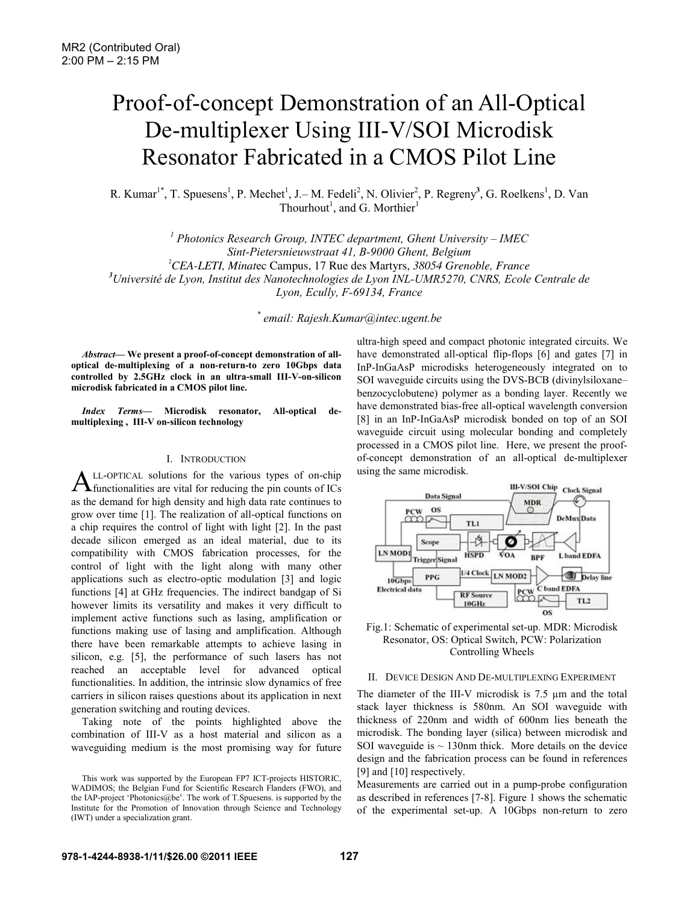# Proof-of-concept Demonstration of an All-Optical De-multiplexer Using III-V/SOI Microdisk Resonator Fabricated in a CMOS Pilot Line

R. Kumar<sup>1\*</sup>, T. Spuesens<sup>1</sup>, P. Mechet<sup>1</sup>, J.– M. Fedeli<sup>2</sup>, N. Olivier<sup>2</sup>, P. Regreny<sup>3</sup>, G. Roelkens<sup>1</sup>, D. Van Thourhout<sup>1</sup>, and G. Morthier<sup>1</sup>

<sup>1</sup> Photonics Research Group, INTEC department, Ghent University – IMEC *Sint-Pietersnieuwstraat 41, B-9000 Ghent, Belgium* 2 *CEA-LETI, Minat*ec Campus, 17 Rue des Martyrs, *38054 Grenoble, France 3 Université de Lyon, Institut des Nanotechnologies de Lyon INL-UMR5270, CNRS, Ecole Centrale de Lyon, Ecully, F-69134, France* 

*\* email: Rajesh.Kumar@intec.ugent.be* 

*Abstract***— We present a proof-of-concept demonstration of alloptical de-multiplexing of a non-return-to zero 10Gbps data controlled by 2.5GHz clock in an ultra-small III-V-on-silicon microdisk fabricated in a CMOS pilot line.** 

*Index Terms***— Microdisk resonator, All-optical demultiplexing , III-V on-silicon technology** 

#### I. INTRODUCTION

LL-OPTICAL solutions for the various types of on-chip  $A$ LL-OPTICAL solutions for the various types of on-chip functionalities are vital for reducing the pin counts of ICs as the demand for high density and high data rate continues to grow over time [1]. The realization of all-optical functions on a chip requires the control of light with light [2]. In the past decade silicon emerged as an ideal material, due to its compatibility with CMOS fabrication processes, for the control of light with the light along with many other applications such as electro-optic modulation [3] and logic functions [4] at GHz frequencies. The indirect bandgap of Si however limits its versatility and makes it very difficult to implement active functions such as lasing, amplification or functions making use of lasing and amplification. Although there have been remarkable attempts to achieve lasing in silicon, e.g. [5], the performance of such lasers has not reached an acceptable level for advanced optical functionalities. In addition, the intrinsic slow dynamics of free carriers in silicon raises questions about its application in next generation switching and routing devices.

Taking note of the points highlighted above the combination of III-V as a host material and silicon as a waveguiding medium is the most promising way for future ultra-high speed and compact photonic integrated circuits. We have demonstrated all-optical flip-flops [6] and gates [7] in InP-InGaAsP microdisks heterogeneously integrated on to SOI waveguide circuits using the DVS-BCB (divinylsiloxane– benzocyclobutene) polymer as a bonding layer. Recently we have demonstrated bias-free all-optical wavelength conversion [8] in an InP-InGaAsP microdisk bonded on top of an SOI waveguide circuit using molecular bonding and completely processed in a CMOS pilot line. Here, we present the proofof-concept demonstration of an all-optical de-multiplexer using the same microdisk.





## II. DEVICE DESIGN AND DE-MULTIPLEXING EXPERIMENT

The diameter of the III-V microdisk is 7.5  $\mu$ m and the total stack layer thickness is 580nm. An SOI waveguide with thickness of 220nm and width of 600nm lies beneath the microdisk. The bonding layer (silica) between microdisk and SOI waveguide is  $\sim$  130nm thick. More details on the device design and the fabrication process can be found in references [9] and [10] respectively.

Measurements are carried out in a pump-probe configuration as described in references [7-8]. Figure 1 shows the schematic of the experimental set-up. A 10Gbps non-return to zero

This work was supported by the European FP7 ICT-projects HISTORIC, WADIMOS; the Belgian Fund for Scientific Research Flanders (FWO), and the IAP-project 'Photonics@be'. The work of T.Spuesens. is supported by the Institute for the Promotion of Innovation through Science and Technology (IWT) under a specialization grant.